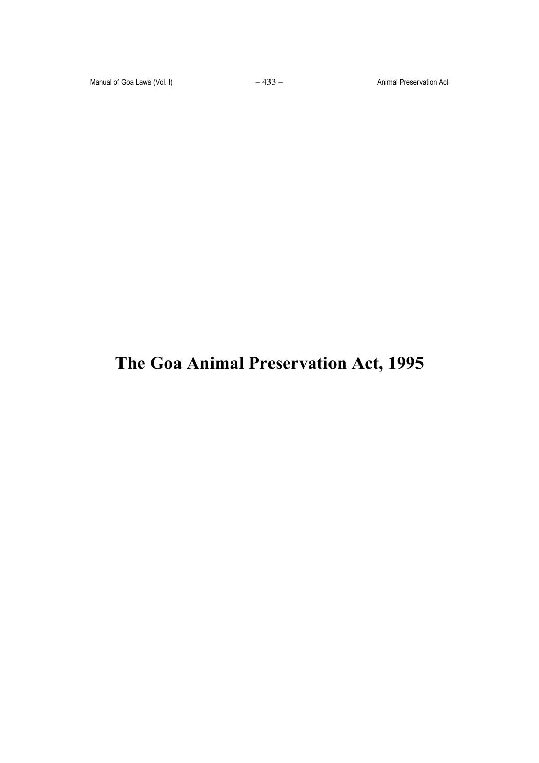# **The Goa Animal Preservation Act, 1995**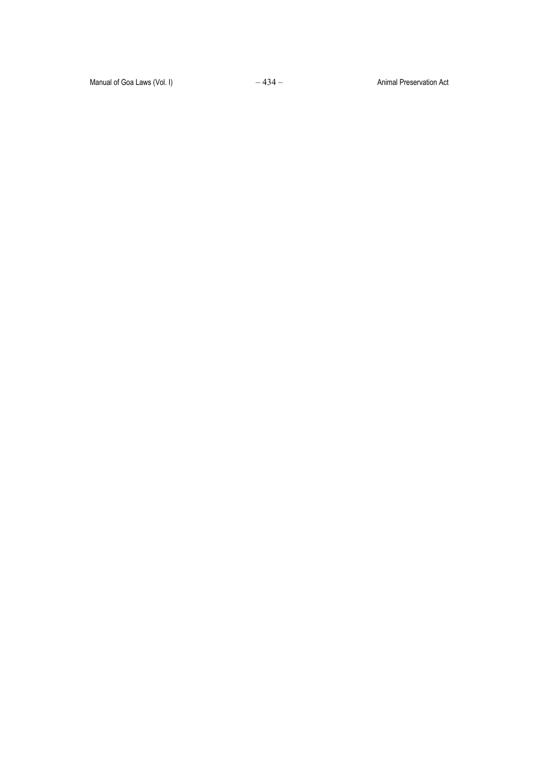Manual of Goa Laws (Vol. I)  $-434 -$ <br>Animal Preservation Act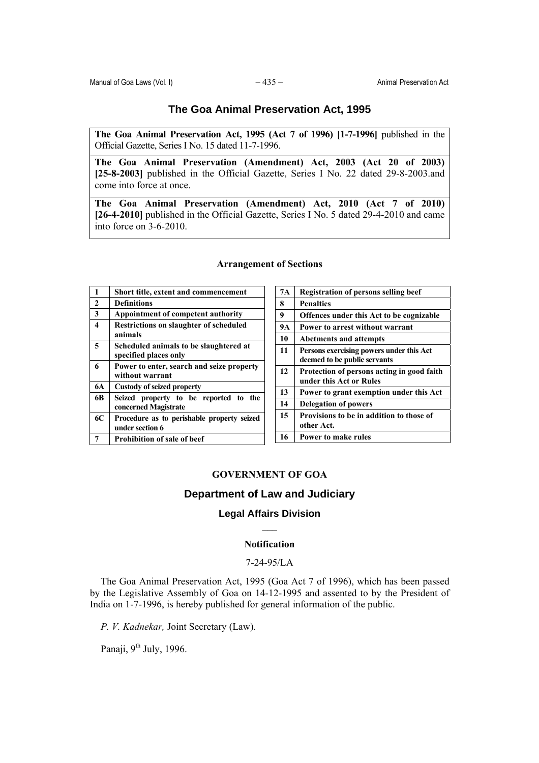## **The Goa Animal Preservation Act, 1995**

**The Goa Animal Preservation Act, 1995 (Act 7 of 1996) [1-7-1996]** published in the Official Gazette, Series I No. 15 dated 11-7-1996.

**The Goa Animal Preservation (Amendment) Act, 2003 (Act 20 of 2003) [25-8-2003]** published in the Official Gazette, Series I No. 22 dated 29-8-2003.and come into force at once.

**The Goa Animal Preservation (Amendment) Act, 2010 (Act 7 of 2010) [26-4-2010]** published in the Official Gazette, Series I No. 5 dated 29-4-2010 and came into force on 3-6-2010.

| 1                       | <b>Short title, extent and commencement</b>                      |
|-------------------------|------------------------------------------------------------------|
| $\overline{2}$          | <b>Definitions</b>                                               |
| 3                       | Appointment of competent authority                               |
| $\overline{\mathbf{4}}$ | <b>Restrictions on slaughter of scheduled</b><br>animals         |
| 5                       | Scheduled animals to be slaughtered at<br>specified places only  |
| 6                       | Power to enter, search and seize property<br>without warrant     |
| <b>6A</b>               | Custody of seized property                                       |
| 6B                      | Seized property to be reported to<br>the<br>concerned Magistrate |
| 6С                      | Procedure as to perishable property seized<br>under section 6    |
| 7                       | <b>Prohibition of sale of beef</b>                               |

### **Arrangement of Sections**

| 7A        | <b>Registration of persons selling beef</b>                              |
|-----------|--------------------------------------------------------------------------|
| 8         | <b>Penalties</b>                                                         |
| 9         | Offences under this Act to be cognizable                                 |
| <b>9A</b> | Power to arrest without warrant                                          |
| 10        | <b>Abetments and attempts</b>                                            |
| 11        | Persons exercising powers under this Act<br>deemed to be public servants |
| 12        | Protection of persons acting in good faith<br>under this Act or Rules    |
| 13        | Power to grant exemption under this Act                                  |
| 14        | <b>Delegation of powers</b>                                              |
| 15        | Provisions to be in addition to those of<br>other Act.                   |
| 16        | <b>Power to make rules</b>                                               |

## **GOVERNMENT OF GOA**

## **Department of Law and Judiciary**

## **Legal Affairs Division**  $\mathcal{L}_\mathcal{L}$

#### **Notification**

### 7-24-95/LA

The Goa Animal Preservation Act, 1995 (Goa Act 7 of 1996), which has been passed by the Legislative Assembly of Goa on 14-12-1995 and assented to by the President of India on 1-7-1996, is hereby published for general information of the public.

*P. V. Kadnekar,* Joint Secretary (Law).

Panaji, 9<sup>th</sup> July, 1996.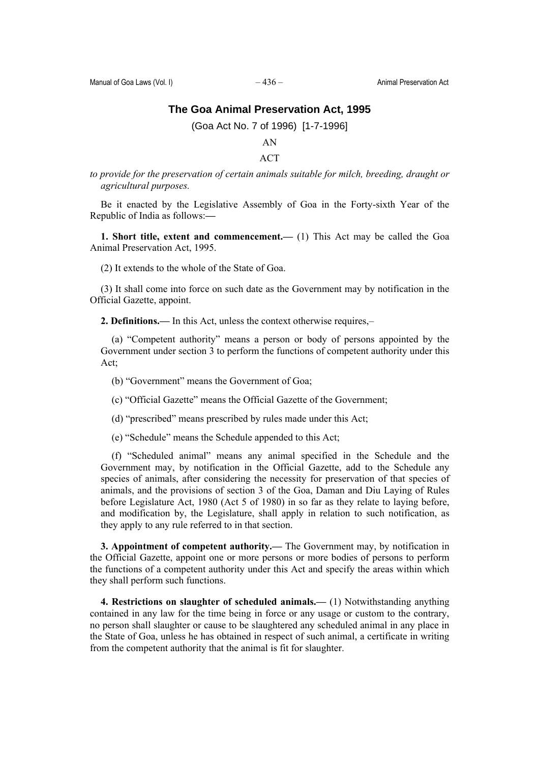## **The Goa Animal Preservation Act, 1995**

(Goa Act No. 7 of 1996) [1-7-1996]

## AN

# ACT

*to provide for the preservation of certain animals suitable for milch, breeding, draught or agricultural purposes.* 

Be it enacted by the Legislative Assembly of Goa in the Forty-sixth Year of the Republic of India as follows:**—**

**1. Short title, extent and commencement.—** (1) This Act may be called the Goa Animal Preservation Act, 1995.

(2) It extends to the whole of the State of Goa.

(3) It shall come into force on such date as the Government may by notification in the Official Gazette, appoint.

**2. Definitions.—** In this Act, unless the context otherwise requires,–

(a) "Competent authority" means a person or body of persons appointed by the Government under section 3 to perform the functions of competent authority under this Act;

(b) "Government" means the Government of Goa;

(c) "Official Gazette" means the Official Gazette of the Government;

(d) "prescribed" means prescribed by rules made under this Act;

(e) "Schedule" means the Schedule appended to this Act;

(f) "Scheduled animal" means any animal specified in the Schedule and the Government may, by notification in the Official Gazette, add to the Schedule any species of animals, after considering the necessity for preservation of that species of animals, and the provisions of section 3 of the Goa, Daman and Diu Laying of Rules before Legislature Act, 1980 (Act 5 of 1980) in so far as they relate to laying before, and modification by, the Legislature, shall apply in relation to such notification, as they apply to any rule referred to in that section.

**3. Appointment of competent authority.—** The Government may, by notification in the Official Gazette, appoint one or more persons or more bodies of persons to perform the functions of a competent authority under this Act and specify the areas within which they shall perform such functions.

**4. Restrictions on slaughter of scheduled animals.—** (1) Notwithstanding anything contained in any law for the time being in force or any usage or custom to the contrary, no person shall slaughter or cause to be slaughtered any scheduled animal in any place in the State of Goa, unless he has obtained in respect of such animal, a certificate in writing from the competent authority that the animal is fit for slaughter.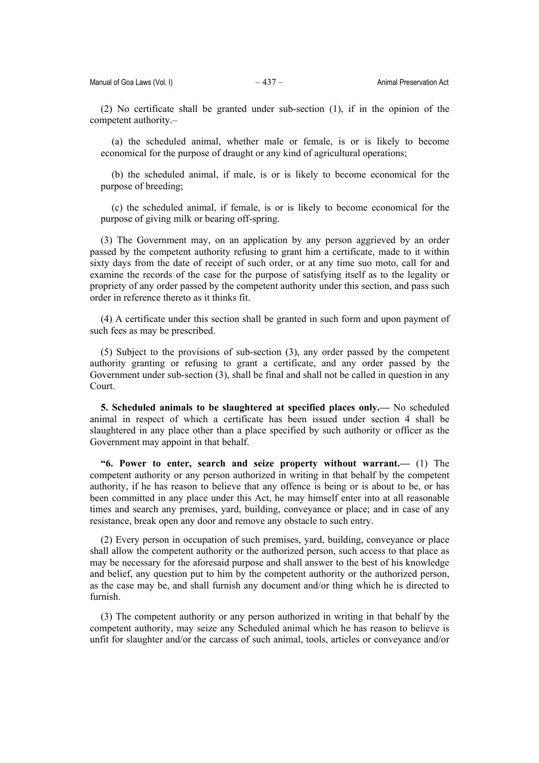(2) No certificate shall be granted under sub-section (1), if in the opinion of the competent authority.–

(a) the scheduled animal, whether male or female, is or is likely to become economical for the purpose of draught or any kind of agricultural operations;

(b) the scheduled animal, if male, is or is likely to become economical for the purpose of breeding;

(c) the scheduled animal, if female, is or is likely to become economical for the purpose of giving milk or bearing off-spring.

(3) The Government may, on an application by any person aggrieved by an order passed by the competent authority refusing to grant him a certificate, made to it within sixty days from the date of receipt of such order, or at any time suo moto, call for and examine the records of the case for the purpose of satisfying itself as to the legality or propriety of any order passed by the competent authority under this section, and pass such order in reference thereto as it thinks fit.

(4) A certificate under this section shall be granted in such form and upon payment of such fees as may be prescribed.

(5) Subject to the provisions of sub-section (3), any order passed by the competent authority granting or refusing to grant a certificate, and any order passed by the Government under sub-section (3), shall be final and shall not be called in question in any Court.

**5. Scheduled animals to be slaughtered at specified places only.—** No scheduled animal in respect of which a certificate has been issued under section 4 shall be slaughtered in any place other than a place specified by such authority or officer as the Government may appoint in that behalf.

**"6. Power to enter, search and seize property without warrant.—** (1) The competent authority or any person authorized in writing in that behalf by the competent authority, if he has reason to believe that any offence is being or is about to be, or has been committed in any place under this Act, he may himself enter into at all reasonable times and search any premises, yard, building, conveyance or place; and in case of any resistance, break open any door and remove any obstacle to such entry.

(2) Every person in occupation of such premises, yard, building, conveyance or place shall allow the competent authority or the authorized person, such access to that place as may be necessary for the aforesaid purpose and shall answer to the best of his knowledge and belief, any question put to him by the competent authority or the authorized person, as the case may be, and shall furnish any document and/or thing which he is directed to furnish.

(3) The competent authority or any person authorized in writing in that behalf by the competent authority, may seize any Scheduled animal which he has reason to believe is unfit for slaughter and/or the carcass of such animal, tools, articles or conveyance and/or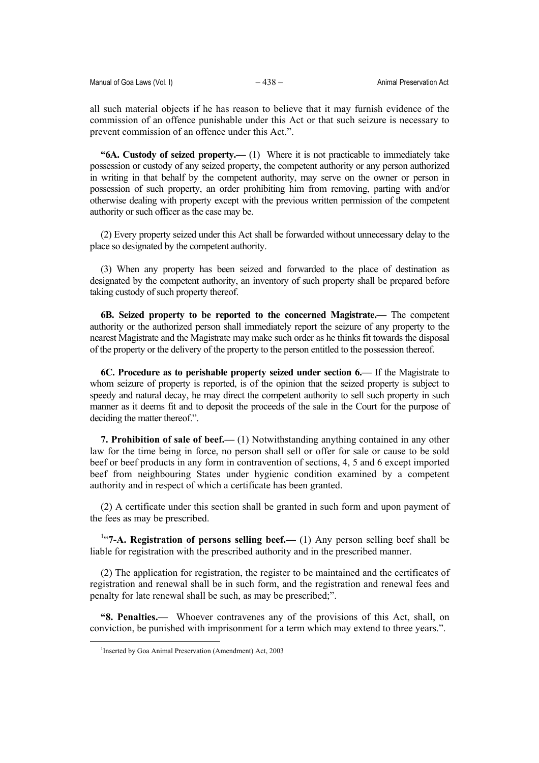all such material objects if he has reason to believe that it may furnish evidence of the commission of an offence punishable under this Act or that such seizure is necessary to prevent commission of an offence under this Act.".

**"6A. Custody of seized property.—** (1) Where it is not practicable to immediately take possession or custody of any seized property, the competent authority or any person authorized in writing in that behalf by the competent authority, may serve on the owner or person in possession of such property, an order prohibiting him from removing, parting with and/or otherwise dealing with property except with the previous written permission of the competent authority or such officer as the case may be.

(2) Every property seized under this Act shall be forwarded without unnecessary delay to the place so designated by the competent authority.

(3) When any property has been seized and forwarded to the place of destination as designated by the competent authority, an inventory of such property shall be prepared before taking custody of such property thereof.

**6B. Seized property to be reported to the concerned Magistrate.—** The competent authority or the authorized person shall immediately report the seizure of any property to the nearest Magistrate and the Magistrate may make such order as he thinks fit towards the disposal of the property or the delivery of the property to the person entitled to the possession thereof.

**6C. Procedure as to perishable property seized under section 6.—** If the Magistrate to whom seizure of property is reported, is of the opinion that the seized property is subject to speedy and natural decay, he may direct the competent authority to sell such property in such manner as it deems fit and to deposit the proceeds of the sale in the Court for the purpose of deciding the matter thereof.".

**7. Prohibition of sale of beef.—** (1) Notwithstanding anything contained in any other law for the time being in force, no person shall sell or offer for sale or cause to be sold beef or beef products in any form in contravention of sections, 4, 5 and 6 except imported beef from neighbouring States under hygienic condition examined by a competent authority and in respect of which a certificate has been granted.

(2) A certificate under this section shall be granted in such form and upon payment of the fees as may be prescribed.

<sup>1</sup><sup>4</sup>7-A. Registration of persons selling beef.— (1) Any person selling beef shall be liable for registration with the prescribed authority and in the prescribed manner.

(2) The application for registration, the register to be maintained and the certificates of registration and renewal shall be in such form, and the registration and renewal fees and penalty for late renewal shall be such, as may be prescribed;".

**"8. Penalties.—** Whoever contravenes any of the provisions of this Act, shall, on conviction, be punished with imprisonment for a term which may extend to three years.".

 $\frac{1}{1}$ <sup>1</sup> Inserted by Goa Animal Preservation (Amendment) Act, 2003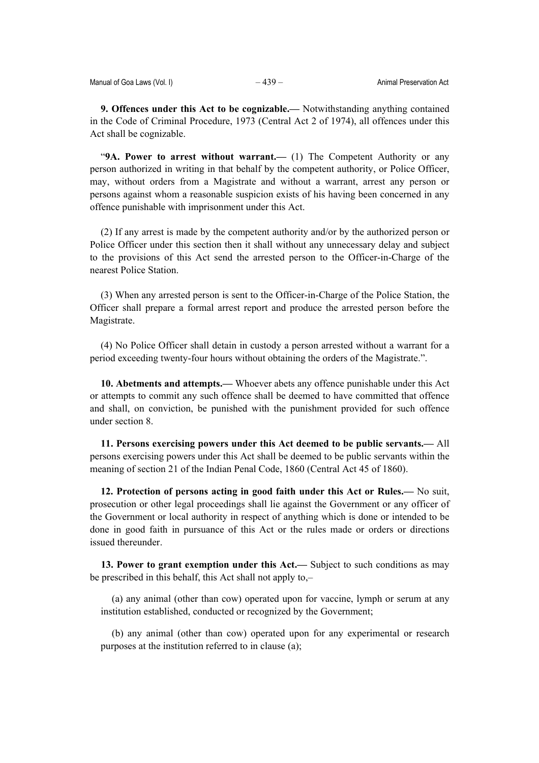Manual of Goa Laws (Vol. I)  $-439-$  Animal Preservation Act

**9. Offences under this Act to be cognizable.—** Notwithstanding anything contained in the Code of Criminal Procedure, 1973 (Central Act 2 of 1974), all offences under this Act shall be cognizable.

"**9A. Power to arrest without warrant.—** (1) The Competent Authority or any person authorized in writing in that behalf by the competent authority, or Police Officer, may, without orders from a Magistrate and without a warrant, arrest any person or persons against whom a reasonable suspicion exists of his having been concerned in any offence punishable with imprisonment under this Act.

(2) If any arrest is made by the competent authority and/or by the authorized person or Police Officer under this section then it shall without any unnecessary delay and subject to the provisions of this Act send the arrested person to the Officer-in-Charge of the nearest Police Station.

(3) When any arrested person is sent to the Officer-in-Charge of the Police Station, the Officer shall prepare a formal arrest report and produce the arrested person before the Magistrate.

(4) No Police Officer shall detain in custody a person arrested without a warrant for a period exceeding twenty-four hours without obtaining the orders of the Magistrate.".

**10. Abetments and attempts.—** Whoever abets any offence punishable under this Act or attempts to commit any such offence shall be deemed to have committed that offence and shall, on conviction, be punished with the punishment provided for such offence under section 8.

**11. Persons exercising powers under this Act deemed to be public servants.—** All persons exercising powers under this Act shall be deemed to be public servants within the meaning of section 21 of the Indian Penal Code, 1860 (Central Act 45 of 1860).

**12. Protection of persons acting in good faith under this Act or Rules.—** No suit, prosecution or other legal proceedings shall lie against the Government or any officer of the Government or local authority in respect of anything which is done or intended to be done in good faith in pursuance of this Act or the rules made or orders or directions issued thereunder.

**13. Power to grant exemption under this Act.—** Subject to such conditions as may be prescribed in this behalf, this Act shall not apply to,–

(a) any animal (other than cow) operated upon for vaccine, lymph or serum at any institution established, conducted or recognized by the Government;

(b) any animal (other than cow) operated upon for any experimental or research purposes at the institution referred to in clause (a);